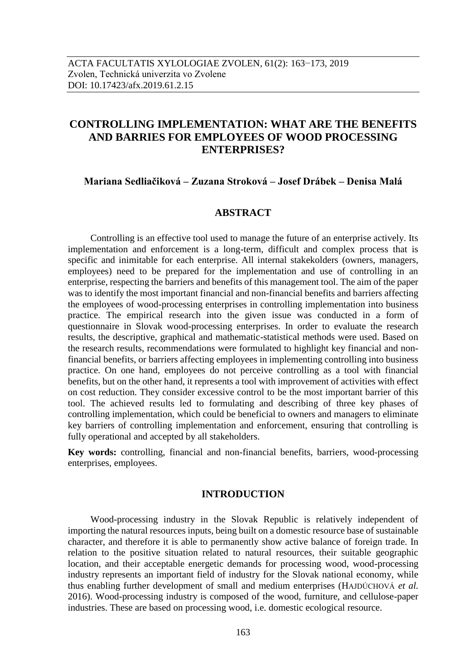# **CONTROLLING IMPLEMENTATION: WHAT ARE THE BENEFITS AND BARRIES FOR EMPLOYEES OF WOOD PROCESSING ENTERPRISES?**

# **Mariana Sedliačiková – Zuzana Stroková – Josef Drábek – Denisa Malá**

# **ABSTRACT**

Controlling is an effective tool used to manage the future of an enterprise actively. Its implementation and enforcement is a long-term, difficult and complex process that is specific and inimitable for each enterprise. All internal stakekolders (owners, managers, employees) need to be prepared for the implementation and use of controlling in an enterprise, respecting the barriers and benefits of this management tool. The aim of the paper was to identify the most important financial and non-financial benefits and barriers affecting the employees of wood-processing enterprises in controlling implementation into business practice. The empirical research into the given issue was conducted in a form of questionnaire in Slovak wood-processing enterprises. In order to evaluate the research results, the descriptive, graphical and mathematic-statistical methods were used. Based on the research results, recommendations were formulated to highlight key financial and nonfinancial benefits, or barriers affecting employees in implementing controlling into business practice. On one hand, employees do not perceive controlling as a tool with financial benefits, but on the other hand, it represents a tool with improvement of activities with effect on cost reduction. They consider excessive control to be the most important barrier of this tool. The achieved results led to formulating and describing of three key phases of controlling implementation, which could be beneficial to owners and managers to eliminate key barriers of controlling implementation and enforcement, ensuring that controlling is fully operational and accepted by all stakeholders.

**Key words:** controlling, financial and non-financial benefits, barriers, wood-processing enterprises, employees.

## **INTRODUCTION**

Wood-processing industry in the Slovak Republic is relatively independent of importing the natural resources inputs, being built on a domestic resource base of sustainable character, and therefore it is able to permanently show active balance of foreign trade. In relation to the positive situation related to natural resources, their suitable geographic location, and their acceptable energetic demands for processing wood, wood-processing industry represents an important field of industry for the Slovak national economy, while thus enabling further development of small and medium enterprises (HAJDÚCHOVÁ *et al.* 2016). Wood-processing industry is composed of the wood, furniture, and cellulose-paper industries. These are based on processing wood, i.e. domestic ecological resource.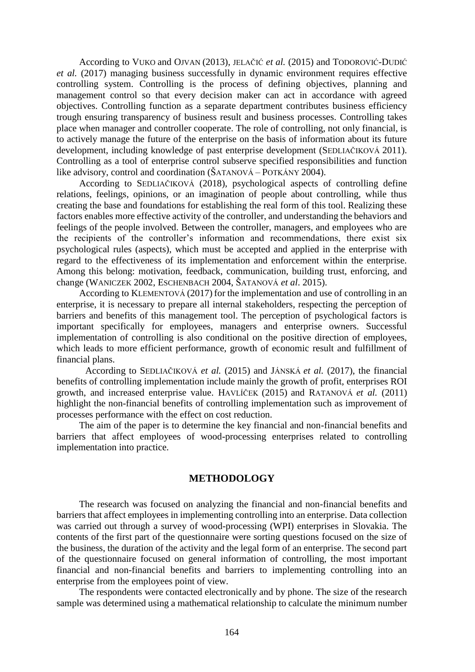According to VUKO and OJVAN (2013), JELAČIĆ *et al.* (2015) and TODOROVIĆ-DUDIĆ *et al.* (2017) managing business successfully in dynamic environment requires effective controlling system. Controlling is the process of defining objectives, planning and management control so that every decision maker can act in accordance with agreed objectives. Controlling function as a separate department contributes business efficiency trough ensuring transparency of business result and business processes. Controlling takes place when manager and controller cooperate. The role of controlling, not only financial, is to actively manage the future of the enterprise on the basis of information about its future development, including knowledge of past enterprise development (SEDLIAČIKOVÁ 2011). Controlling as a tool of enterprise control subserve specified responsibilities and function like advisory, control and coordination (ŠATANOVÁ – POTKÁNY 2004).

According to SEDLIAČIKOVÁ (2018), psychological aspects of controlling define relations, feelings, opinions, or an imagination of people about controlling, while thus creating the base and foundations for establishing the real form of this tool. Realizing these factors enables more effective activity of the controller, and understanding the behaviors and feelings of the people involved. Between the controller, managers, and employees who are the recipients of the controller's information and recommendations, there exist six psychological rules (aspects), which must be accepted and applied in the enterprise with regard to the effectiveness of its implementation and enforcement within the enterprise. Among this belong: motivation, feedback, communication, building trust, enforcing, and change (WANICZEK 2002, ESCHENBACH 2004, ŠATANOVÁ *et al*. 2015).

According to KLEMENTOVÁ (2017) for the implementation and use of controlling in an enterprise, it is necessary to prepare all internal stakeholders, respecting the perception of barriers and benefits of this management tool. The perception of psychological factors is important specifically for employees, managers and enterprise owners. Successful implementation of controlling is also conditional on the positive direction of employees, which leads to more efficient performance, growth of economic result and fulfillment of financial plans.

According to SEDLIAČIKOVÁ *et al.* (2015) and JÁNSKÁ *et al.* (2017), the financial benefits of controlling implementation include mainly the growth of profit, enterprises ROI growth, and increased enterprise value. HAVLÍČEK (2015) and RATANOVÁ *et al.* (2011) highlight the non-financial benefits of controlling implementation such as improvement of processes performance with the effect on cost reduction.

The aim of the paper is to determine the key financial and non-financial benefits and barriers that affect employees of wood-processing enterprises related to controlling implementation into practice.

# **METHODOLOGY**

The research was focused on analyzing the financial and non-financial benefits and barriers that affect employees in implementing controlling into an enterprise. Data collection was carried out through a survey of wood-processing (WPI) enterprises in Slovakia. The contents of the first part of the questionnaire were sorting questions focused on the size of the business, the duration of the activity and the legal form of an enterprise. The second part of the questionnaire focused on general information of controlling, the most important financial and non-financial benefits and barriers to implementing controlling into an enterprise from the employees point of view.

The respondents were contacted electronically and by phone. The size of the research sample was determined using a mathematical relationship to calculate the minimum number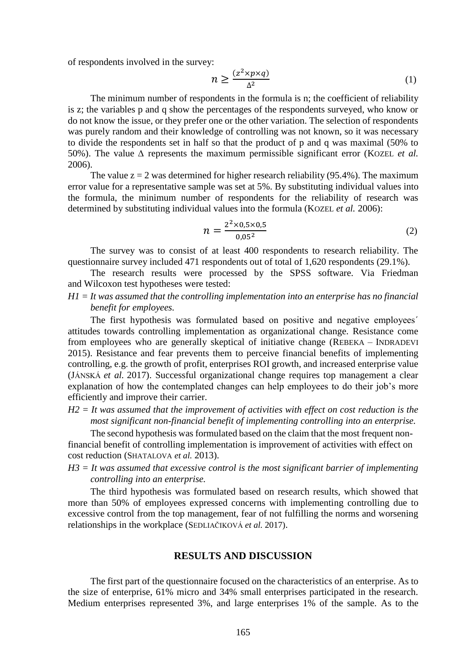of respondents involved in the survey:

$$
n \ge \frac{(z^2 \times p \times q)}{\Delta^2} \tag{1}
$$

The minimum number of respondents in the formula is n; the coefficient of reliability is z; the variables p and q show the percentages of the respondents surveyed, who know or do not know the issue, or they prefer one or the other variation. The selection of respondents was purely random and their knowledge of controlling was not known, so it was necessary to divide the respondents set in half so that the product of p and q was maximal (50% to 50%). The value *∆* represents the maximum permissible significant error (KOZEL *et al.* 2006).

The value  $z = 2$  was determined for higher research reliability (95.4%). The maximum error value for a representative sample was set at 5%. By substituting individual values into the formula, the minimum number of respondents for the reliability of research was determined by substituting individual values into the formula (KOZEL *et al.* 2006):

$$
n = \frac{2^2 \times 0.5 \times 0.5}{0.05^2} \tag{2}
$$

The survey was to consist of at least 400 respondents to research reliability. The questionnaire survey included 471 respondents out of total of 1,620 respondents (29.1%).

The research results were processed by the SPSS software. Via Friedman and Wilcoxon test hypotheses were tested:

*H1 = It was assumed that the controlling implementation into an enterprise has no financial benefit for employees.*

The first hypothesis was formulated based on positive and negative employees´ attitudes towards controlling implementation as organizational change. Resistance come from employees who are generally skeptical of initiative change (REBEKA – INDRADEVI 2015). Resistance and fear prevents them to perceive financial benefits of implementing controlling, e.g. the growth of profit, enterprises ROI growth, and increased enterprise value (JÁNSKÁ *et al.* 2017). Successful organizational change requires top management a clear explanation of how the contemplated changes can help employees to do their job's more efficiently and improve their carrier.

*H2 = It was assumed that the improvement of activities with effect on cost reduction is the most significant non-financial benefit of implementing controlling into an enterprise.*

The second hypothesis was formulated based on the claim that the most frequent nonfinancial benefit of controlling implementation is improvement of activities with effect on cost reduction (SHATALOVA *et al.* 2013).

*H3 = It was assumed that excessive control is the most significant barrier of implementing controlling into an enterprise.*

The third hypothesis was formulated based on research results, which showed that more than 50% of employees expressed concerns with implementing controlling due to excessive control from the top management, fear of not fulfilling the norms and worsening relationships in the workplace (SEDLIAČIKOVÁ *et al.* 2017).

## **RESULTS AND DISCUSSION**

The first part of the questionnaire focused on the characteristics of an enterprise. As to the size of enterprise, 61% micro and 34% small enterprises participated in the research. Medium enterprises represented 3%, and large enterprises 1% of the sample. As to the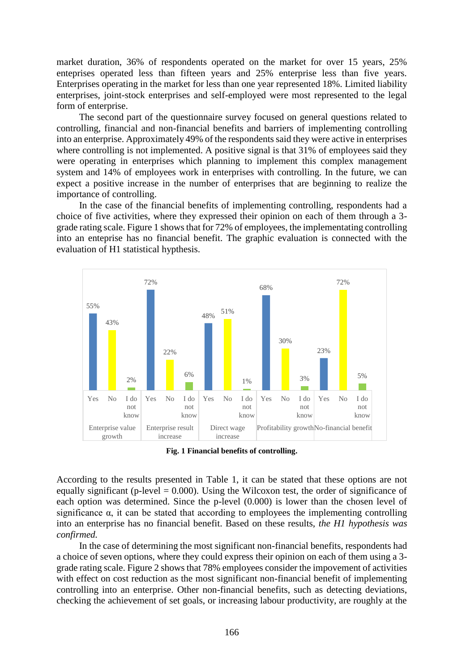market duration, 36% of respondents operated on the market for over 15 years, 25% enteprises operated less than fifteen years and 25% enterprise less than five years. Enterprises operating in the market for less than one year represented 18%. Limited liability enterprises, joint-stock enterprises and self-employed were most represented to the legal form of enterprise.

The second part of the questionnaire survey focused on general questions related to controlling, financial and non-financial benefits and barriers of implementing controlling into an enterprise. Approximately 49% of the respondents said they were active in enterprises where controlling is not implemented. A positive signal is that 31% of employees said they were operating in enterprises which planning to implement this complex management system and 14% of employees work in enterprises with controlling. In the future, we can expect a positive increase in the number of enterprises that are beginning to realize the importance of controlling.

In the case of the financial benefits of implementing controlling, respondents had a choice of five activities, where they expressed their opinion on each of them through a 3 grade rating scale. Figure 1 shows that for 72% of employees, the implementating controlling into an enteprise has no financial benefit. The graphic evaluation is connected with the evaluation of H1 statistical hypthesis.



**Fig. 1 Financial benefits of controlling.**

According to the results presented in Table 1, it can be stated that these options are not equally significant (p-level  $= 0.000$ ). Using the Wilcoxon test, the order of significance of each option was determined. Since the p-level (0.000) is lower than the chosen level of significance  $\alpha$ , it can be stated that according to employees the implementing controlling into an enterprise has no financial benefit. Based on these results, *the H1 hypothesis was confirmed.*

In the case of determining the most significant non-financial benefits, respondents had a choice of seven options, where they could express their opinion on each of them using a 3 grade rating scale. Figure 2 shows that 78% employees consider the impovement of activities with effect on cost reduction as the most significant non-financial benefit of implementing controlling into an enterprise. Other non-financial benefits, such as detecting deviations, checking the achievement of set goals, or increasing labour productivity, are roughly at the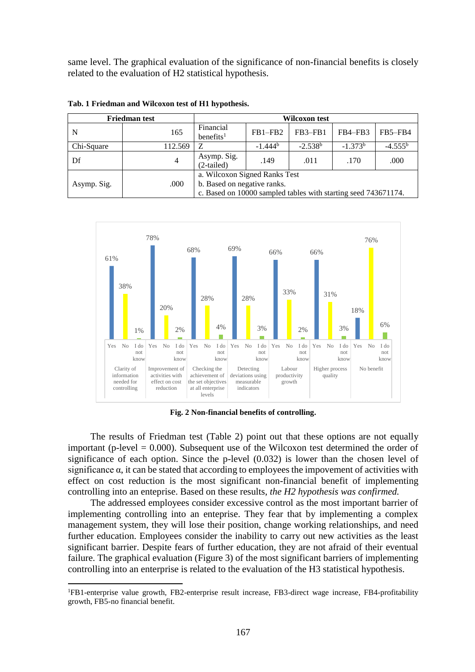same level. The graphical evaluation of the significance of non-financial benefits is closely related to the evaluation of H2 statistical hypothesis.

| <b>Friedman test</b> |         | Wilcoxon test                                                                                                                  |            |           |           |           |  |  |
|----------------------|---------|--------------------------------------------------------------------------------------------------------------------------------|------------|-----------|-----------|-----------|--|--|
| N                    | 165     | Financial<br>$b$ enefits <sup>1</sup>                                                                                          | $FB1-FB2$  | FB3–FB1   | FB4–FB3   | FB5-FB4   |  |  |
| Chi-Square           | 112.569 | Z                                                                                                                              | $-1.444^b$ | $-2.538b$ | $-1.373b$ | $-4.555b$ |  |  |
| Df                   | 4       | Asymp. Sig.<br>(2-tailed)                                                                                                      | .149       | .011      | .170      | .000      |  |  |
| Asymp. Sig.          | .000    | a. Wilcoxon Signed Ranks Test<br>b. Based on negative ranks.<br>c. Based on 10000 sampled tables with starting seed 743671174. |            |           |           |           |  |  |

**Tab. 1 Friedman and Wilcoxon test of H1 hypothesis.**



**Fig. 2 Non-financial benefits of controlling.**

The results of Friedman test (Table 2) point out that these options are not equally important (p-level  $= 0.000$ ). Subsequent use of the Wilcoxon test determined the order of significance of each option. Since the p-level (0.032) is lower than the chosen level of significance  $\alpha$ , it can be stated that according to employees the impovement of activities with effect on cost reduction is the most significant non-financial benefit of implementing controlling into an enteprise. Based on these results, *the H2 hypothesis was confirmed.*

The addressed employees consider excessive control as the most important barrier of implementing controlling into an enteprise. They fear that by implementing a complex management system, they will lose their position, change working relationships, and need further education. Employees consider the inability to carry out new activities as the least significant barrier. Despite fears of further education, they are not afraid of their eventual failure. The graphical evaluation (Figure 3) of the most significant barriers of implementing controlling into an enterprise is related to the evaluation of the H3 statistical hypothesis.

1

<sup>1</sup>FB1-enterprise value growth, FB2-enterprise result increase, FB3-direct wage increase, FB4-profitability growth, FB5-no financial benefit.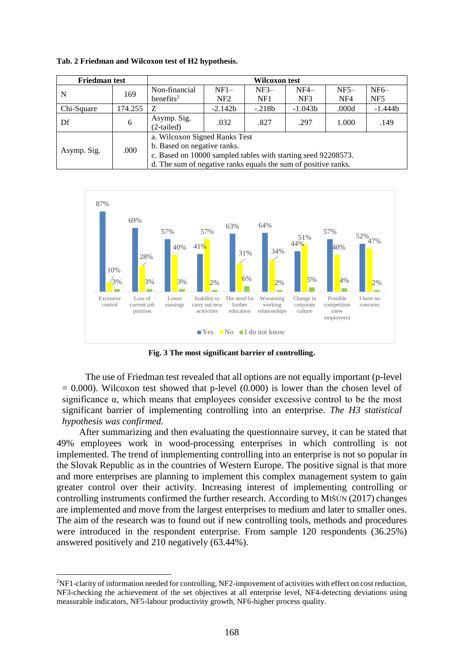| <b>Friedman test</b> |         | Wilcoxon test                                                  |                 |          |           |        |                 |  |  |
|----------------------|---------|----------------------------------------------------------------|-----------------|----------|-----------|--------|-----------------|--|--|
| N                    | 169     | Non-financial                                                  | $NF1-$          | $NF3-$   | $NF4-$    | $NF5-$ | $NF6-$          |  |  |
|                      |         | benefits <sup>2</sup>                                          | NF <sub>2</sub> | NF1      | NF3       | NF4    | NF <sub>5</sub> |  |  |
| Chi-Square           | 174.255 | Z                                                              | $-2.142b$       | $-.218b$ | $-1.043b$ | .000d  | $-1.444b$       |  |  |
| Df                   | 6       | Asymp. Sig.                                                    | .032            | .827     | .297      | 1.000  | .149            |  |  |
|                      |         | (2-tailed)                                                     |                 |          |           |        |                 |  |  |
| Asymp. Sig.          | .000    | a. Wilcoxon Signed Ranks Test                                  |                 |          |           |        |                 |  |  |
|                      |         | b. Based on negative ranks.                                    |                 |          |           |        |                 |  |  |
|                      |         | c. Based on 10000 sampled tables with starting seed 92208573.  |                 |          |           |        |                 |  |  |
|                      |         | d. The sum of negative ranks equals the sum of positive ranks. |                 |          |           |        |                 |  |  |

**Tab. 2 Friedman and Wilcoxon test of H2 hypothesis.**



**Fig. 3 The most significant barrier of controlling.**

The use of Friedman test revealed that all options are not equally important (p-level  $= 0.000$ ). Wilcoxon test showed that p-level  $(0.000)$  is lower than the chosen level of significance  $\alpha$ , which means that employees consider excessive control to be the most significant barrier of implementing controlling into an enterprise. *The H3 statistical hypothesis was confirmed.*

After summarizing and then evaluating the questionnaire survey, it can be stated that 49% employees work in wood-processing enterprises in which controlling is not implemented. The trend of inmplementing controlling into an enterprise is not so popular in the Slovak Republic as in the countries of Western Europe. The positive signal is that more and more enterprises are planning to implement this complex management system to gain greater control over their activity. Increasing interest of implementing controlling or controlling instruments confirmed the further research. According to MIŠÚN (2017) changes are implemented and move from the largest enterprises to medium and later to smaller ones. The aim of the research was to found out if new controlling tools, methods and procedures were introduced in the respondent enterprise. From sample 120 respondents (36.25%) answered positively and 210 negatively (63.44%).

 $\overline{a}$ 

<sup>2</sup>NF1-clarity of information needed for controlling, NF2-impovement of activities with effect on cost reduction, NF3-checking the achievement of the set objectives at all enterprise level, NF4-detecting deviations using measurable indicators, NF5-labour productivity growth, NF6-higher process quality.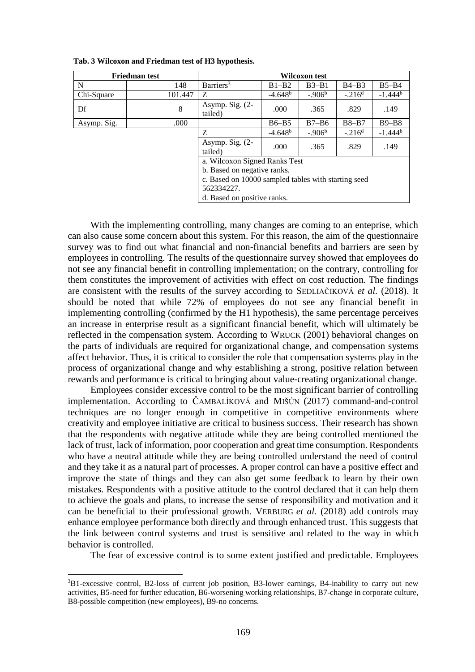| <b>Friedman test</b>                                |         | Wilcoxon test              |           |           |           |            |  |  |
|-----------------------------------------------------|---------|----------------------------|-----------|-----------|-----------|------------|--|--|
| N                                                   | 148     | Barriers <sup>3</sup>      | $B1-B2$   | $B3 - B1$ | $B4-B3$   | $B5 - B4$  |  |  |
| Chi-Square                                          | 101.447 | Z                          | $-4.648b$ | $-.906b$  | $-.216d$  | $-1.444^b$ |  |  |
| Df                                                  | 8       | Asymp. Sig. (2-<br>tailed) | .000      | .365      | .829      | .149       |  |  |
| Asymp. Sig.                                         | .000    |                            | $B6 - B5$ | $B7 - B6$ | $B8 - B7$ | $B9 - B8$  |  |  |
|                                                     |         | Z                          | $-4.648b$ | $-.906b$  | $-.216d$  | $-1.444^b$ |  |  |
|                                                     |         | Asymp. Sig. (2-<br>tailed) | .000      | .365      | .829      | .149       |  |  |
| a. Wilcoxon Signed Ranks Test                       |         |                            |           |           |           |            |  |  |
| b. Based on negative ranks.                         |         |                            |           |           |           |            |  |  |
| c. Based on 10000 sampled tables with starting seed |         |                            |           |           |           |            |  |  |
| 562334227.                                          |         |                            |           |           |           |            |  |  |
| d. Based on positive ranks.                         |         |                            |           |           |           |            |  |  |

**Tab. 3 Wilcoxon and Friedman test of H3 hypothesis.**

With the implementing controlling, many changes are coming to an enteprise, which can also cause some concern about this system. For this reason, the aim of the questionnaire survey was to find out what financial and non-financial benefits and barriers are seen by employees in controlling. The results of the questionnaire survey showed that employees do not see any financial benefit in controlling implementation; on the contrary, controlling for them constitutes the improvement of activities with effect on cost reduction. The findings are consistent with the results of the survey according to SEDLIAČIKOVÁ *et al.* (2018). It should be noted that while 72% of employees do not see any financial benefit in implementing controlling (confirmed by the H1 hypothesis), the same percentage perceives an increase in enterprise result as a significant financial benefit, which will ultimately be reflected in the compensation system. According to WRUCK (2001) behavioral changes on the parts of individuals are required for organizational change, and compensation systems affect behavior. Thus, it is critical to consider the role that compensation systems play in the process of organizational change and why establishing a strong, positive relation between rewards and performance is critical to bringing about value-creating organizational change.

Employees consider excessive control to be the most significant barrier of controlling implementation. According to ČAMBALÍKOVÁ and MIŠÚN (2017) command-and-control techniques are no longer enough in competitive in competitive environments where creativity and employee initiative are critical to business success. Their research has shown that the respondents with negative attitude while they are being controlled mentioned the lack of trust, lack of information, poor cooperation and great time consumption. Respondents who have a neutral attitude while they are being controlled understand the need of control and they take it as a natural part of processes. A proper control can have a positive effect and improve the state of things and they can also get some feedback to learn by their own mistakes. Respondents with a positive attitude to the control declared that it can help them to achieve the goals and plans, to increase the sense of responsibility and motivation and it can be beneficial to their professional growth. VERBURG *et al.* (2018) add controls may enhance employee performance both directly and through enhanced trust. This suggests that the link between control systems and trust is sensitive and related to the way in which behavior is controlled.

The fear of excessive control is to some extent justified and predictable. Employees

-

<sup>3</sup>B1-excessive control, B2-loss of current job position, B3-lower earnings, B4-inability to carry out new activities, B5-need for further education, B6-worsening working relationships, B7-change in corporate culture, B8-possible competition (new employees), B9-no concerns.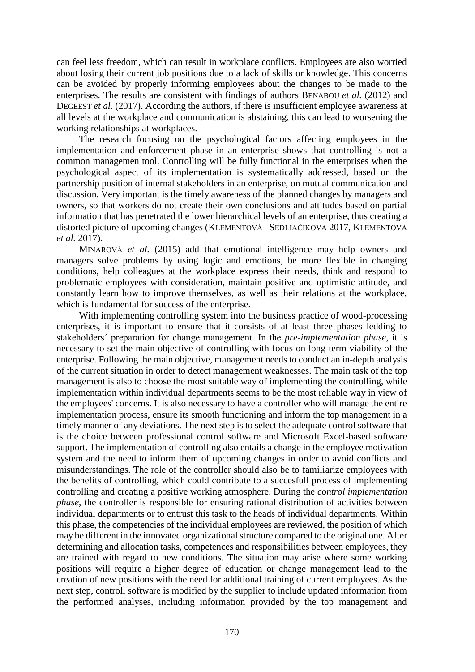can feel less freedom, which can result in workplace conflicts. Employees are also worried about losing their current job positions due to a lack of skills or knowledge. This concerns can be avoided by properly informing employees about the changes to be made to the enterprises. The results are consistent with findings of authors BENABOU *et al.* (2012) and DEGEEST *et al.* (2017). According the authors, if there is insufficient employee awareness at all levels at the workplace and communication is abstaining, this can lead to worsening the working relationships at workplaces.

The research focusing on the psychological factors affecting employees in the implementation and enforcement phase in an enterprise shows that controlling is not a common managemen tool. Controlling will be fully functional in the enterprises when the psychological aspect of its implementation is systematically addressed, based on the partnership position of internal stakeholders in an enterprise, on mutual communication and discussion. Very important is the timely awareness of the planned changes by managers and owners, so that workers do not create their own conclusions and attitudes based on partial information that has penetrated the lower hierarchical levels of an enterprise, thus creating a distorted picture of upcoming changes (KLEMENTOVÁ - SEDLIAČIKOVÁ 2017, KLEMENTOVÁ *et al.* 2017).

MINÁROVÁ *et al.* (2015) add that emotional intelligence may help owners and managers solve problems by using logic and emotions, be more flexible in changing conditions, help colleagues at the workplace express their needs, think and respond to problematic employees with consideration, maintain positive and optimistic attitude, and constantly learn how to improve themselves, as well as their relations at the workplace, which is fundamental for success of the enterprise.

With implementing controlling system into the business practice of wood-processing enterprises, it is important to ensure that it consists of at least three phases ledding to stakeholders´ preparation for change management. In the *pre-implementation phase*, it is necessary to set the main objective of controlling with focus on long-term viability of the enterprise. Following the main objective, management needs to conduct an in-depth analysis of the current situation in order to detect management weaknesses. The main task of the top management is also to choose the most suitable way of implementing the controlling, while implementation within individual departments seems to be the most reliable way in view of the employees' concerns. It is also necessary to have a controller who will manage the entire implementation process, ensure its smooth functioning and inform the top management in a timely manner of any deviations. The next step is to select the adequate control software that is the choice between professional control software and Microsoft Excel-based software support. The implementation of controlling also entails a change in the employee motivation system and the need to inform them of upcoming changes in order to avoid conflicts and misunderstandings. The role of the controller should also be to familiarize employees with the benefits of controlling, which could contribute to a succesfull process of implementing controlling and creating a positive working atmosphere. During the *control implementation phase*, the controller is responsible for ensuring rational distribution of activities between individual departments or to entrust this task to the heads of individual departments. Within this phase, the competencies of the individual employees are reviewed, the position of which may be different in the innovated organizational structure compared to the original one. After determining and allocation tasks, competences and responsibilities between employees, they are trained with regard to new conditions. The situation may arise where some working positions will require a higher degree of education or change management lead to the creation of new positions with the need for additional training of current employees. As the next step, controll software is modified by the supplier to include updated information from the performed analyses, including information provided by the top management and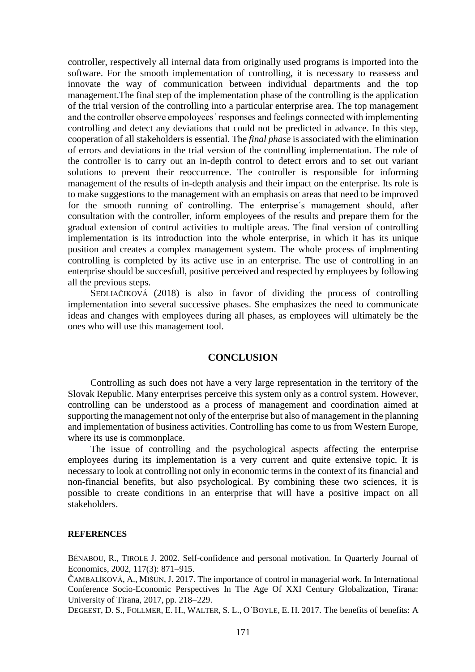controller, respectively all internal data from originally used programs is imported into the software. For the smooth implementation of controlling, it is necessary to reassess and innovate the way of communication between individual departments and the top management.The final step of the implementation phase of the controlling is the application of the trial version of the controlling into a particular enterprise area. The top management and the controller observe empoloyees´ responses and feelings connected with implementing controlling and detect any deviations that could not be predicted in advance. In this step, cooperation of all stakeholders is essential. The *final phase* is associated with the elimination of errors and deviations in the trial version of the controlling implementation. The role of the controller is to carry out an in-depth control to detect errors and to set out variant solutions to prevent their reoccurrence. The controller is responsible for informing management of the results of in-depth analysis and their impact on the enterprise. Its role is to make suggestions to the management with an emphasis on areas that need to be improved for the smooth running of controlling. The enterprise´s management should, after consultation with the controller, inform employees of the results and prepare them for the gradual extension of control activities to multiple areas. The final version of controlling implementation is its introduction into the whole enterprise, in which it has its unique position and creates a complex management system. The whole process of implmenting controlling is completed by its active use in an enterprise. The use of controlling in an enterprise should be succesfull, positive perceived and respected by employees by following all the previous steps.

SEDLIAČIKOVÁ (2018) is also in favor of dividing the process of controlling implementation into several successive phases. She emphasizes the need to communicate ideas and changes with employees during all phases, as employees will ultimately be the ones who will use this management tool.

#### **CONCLUSION**

Controlling as such does not have a very large representation in the territory of the Slovak Republic. Many enterprises perceive this system only as a control system. However, controlling can be understood as a process of management and coordination aimed at supporting the management not only of the enterprise but also of management in the planning and implementation of business activities. Controlling has come to us from Western Europe, where its use is commonplace.

The issue of controlling and the psychological aspects affecting the enterprise employees during its implementation is a very current and quite extensive topic. It is necessary to look at controlling not only in economic terms in the context of its financial and non-financial benefits, but also psychological. By combining these two sciences, it is possible to create conditions in an enterprise that will have a positive impact on all stakeholders.

#### **REFERENCES**

BÉNABOU, R., TIROLE J. 2002. Self-confidence and personal motivation. In Quarterly Journal of Economics, 2002, 117(3): 871-915.

ČAMBALÍKOVÁ, A., MIŠÚN, J. 2017. The importance of control in managerial work. In International Conference Socio-Economic Perspectives In The Age Of XXI Century Globalization, Tirana: University of Tirana,  $2017$ , pp.  $218-229$ .

DEGEEST, D. S., FOLLMER, E. H., WALTER, S. L., O´BOYLE, E. H. 2017. The benefits of benefits: A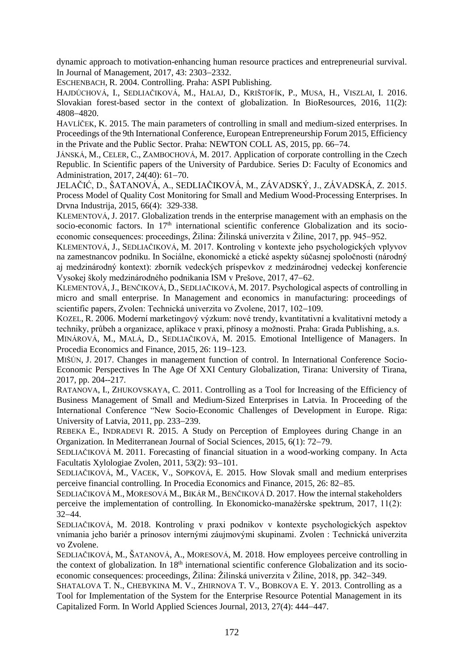dynamic approach to motivation-enhancing human resource practices and entrepreneurial survival. In Journal of Management, 2017, 43: 2303-2332.

ESCHENBACH, R. 2004. Controlling. Praha: ASPI Publishing.

HAJDÚCHOVÁ, I., SEDLIAČIKOVÁ, M., HALAJ, D., KRIŠTOFÍK, P., MUSA, H., VISZLAI, I. 2016. Slovakian forest-based sector in the context of globalization. In BioResources, 2016, 11(2): 48084820.

HAVLÍČEK, K. 2015. The main parameters of controlling in small and medium-sized enterprises. In Proceedings of the 9th International Conference, European Entrepreneurship Forum 2015, Efficiency in the Private and the Public Sector. Praha: NEWTON COLL AS, 2015, pp. 66–74.

JÁNSKÁ, M., CELER, C., ZAMBOCHOVÁ, M. 2017. Application of corporate controlling in the Czech Republic. In Scientific papers of the University of Pardubice. Series D: Faculty of Economics and Administration, 2017, 24(40): 61-70.

JELAČIĆ, D., ŠATANOVÁ, A., SEDLIAČIKOVÁ, M., ZÁVADSKÝ, J., ZÁVADSKÁ, Z. 2015. [Process Model of Quality Cost Monitoring for Small and Medium Wood-Processing Enterprises. In](http://apps.webofknowledge.com/full_record.do?product=WOS&search_mode=CitationReport&qid=3&SID=D58DixzzXyQ9q5BCmzX&page=1&doc=10)  [Drvna Industrija, 2015, 66\(4\):](http://apps.webofknowledge.com/full_record.do?product=WOS&search_mode=CitationReport&qid=3&SID=D58DixzzXyQ9q5BCmzX&page=1&doc=10) 329-338.

KLEMENTOVÁ, J. 2017. Globalization trends in the enterprise management with an emphasis on the socio-economic factors. In 17<sup>th</sup> international scientific conference Globalization and its socioeconomic consequences: proceedings, Žilina: Žilinská univerzita v Žiline, 2017, pp. 945–952.

KLEMENTOVÁ, J., SEDLIAČIKOVÁ, M. 2017. Kontroling v kontexte jeho psychologických vplyvov na zamestnancov podniku. In Sociálne, ekonomické a etické aspekty súčasnej spoločnosti (národný aj medzinárodný kontext): zborník vedeckých príspevkov z medzinárodnej vedeckej konferencie Vysokej školy medzinárodného podnikania ISM v Prešove, 2017, 47–62.

KLEMENTOVÁ,J., BENČIKOVÁ, D., SEDLIAČIKOVÁ, M. 2017. Psychological aspects of controlling in micro and small enterprise. In Management and economics in manufacturing: proceedings of scientific papers, Zvolen: Technická univerzita vo Zvolene, 2017, 102–109.

KOZEL, R. 2006. Moderní marketingový výzkum: nové trendy, kvantitativní a kvalitativní metody a techniky, průbeh a organizace, aplikace v praxi, přínosy a možnosti. Praha: Grada Publishing, a.s.

MINÁROVÁ, M., MALÁ, D., SEDLIAČIKOVÁ, M. 2015. Emotional Intelligence of Managers. In Procedia Economics and Finance, 2015, 26: 119–123.

MIŠÚN, J. 2017. Changes in management function of control. In International Conference Socio-Economic Perspectives In The Age Of XXI Century Globalization, Tirana: University of Tirana, 2017, pp. 204--217.

RATANOVA, I., ZHUKOVSKAYA, C. 2011. Controlling as a Tool for Increasing of the Efficiency of Business Management of Small and Medium-Sized Enterprises in Latvia. In Proceeding of the International Conference "New Socio-Economic Challenges of Development in Europe. Riga: University of Latvia,  $2011$ , pp.  $233-239$ .

REBEKA E., INDRADEVI R. 2015. A Study on Perception of Employees during Change in an Organization. In Mediterranean Journal of Social Sciences, 2015, 6(1): 72–79.

SEDLIAČIKOVÁ M. 2011. Forecasting of financial situation in a wood-working company. In Acta Facultatis Xylologiae Zvolen,  $2011, 53(2)$ : 93-101.

SEDLIAČIKOVÁ, M., VACEK, V., SOPKOVÁ, E. 2015. How Slovak small and medium enterprises perceive financial controlling. In Procedia Economics and Finance, 2015, 26: 82–85.

SEDLIAČIKOVÁ M., MORESOVÁ M., BIKÁR M., BENČIKOVÁ D. 2017. How the internal stakeholders perceive the implementation of controlling. In Ekonomicko-manažérske spektrum, 2017, 11(2):  $32 - 44.$ 

SEDLIAČIKOVÁ, M. 2018. Kontroling v praxi podnikov v kontexte psychologických aspektov vnímania jeho bariér a prínosov internými záujmovými skupinami. Zvolen : Technická univerzita vo Zvolene.

SEDLIAČIKOVÁ, M., ŠATANOVÁ, A., MORESOVÁ, M. 2018. How employees perceive controlling in the context of globalization. In 18<sup>th</sup> international scientific conference Globalization and its socioeconomic consequences: proceedings, Žilina: Žilinská univerzita v Žiline, 2018, pp. 342–349.

SHATALOVA T. N., CHEBYKINA M. V., ZHIRNOVA T. V., BOBKOVA E. Y. 2013. Controlling as a Tool for Implementation of the System for the Enterprise Resource Potential Management in its Capitalized Form. In World Applied Sciences Journal, 2013, 27(4): 444–447.